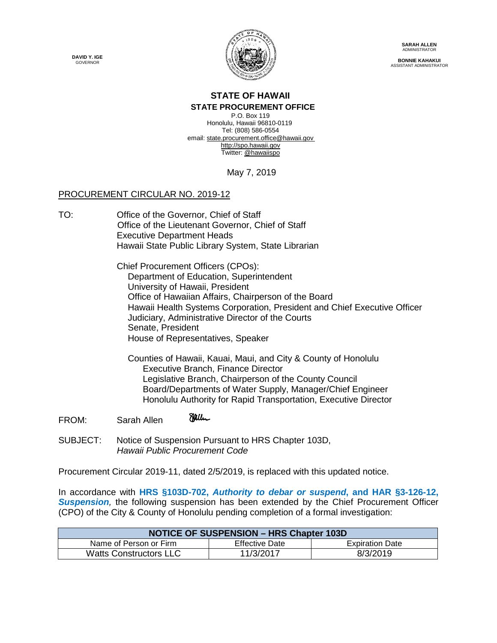**DAVID Y. IGE GOVERNOR** 



**SARAH ALLEN** ADMINISTRATOR

**BONNIE KAHAKUI** ASSISTANT ADMINISTRATOR

## **STATE OF HAWAII**

**STATE PROCUREMENT OFFICE** P.O. Box 119 Honolulu, Hawaii 96810-0119 Tel: (808) 586-0554 email[: state.procurement.office@hawaii.gov](mailto:state.procurement.office@hawaii.gov) [http://spo.hawaii.gov](http://spo.hawaii.gov/) Twitter: [@hawaiispo](https://twitter.com/hawaiispo)

May 7, 2019

## PROCUREMENT CIRCULAR NO. 2019-12

TO: Office of the Governor, Chief of Staff Office of the Lieutenant Governor, Chief of Staff Executive Department Heads Hawaii State Public Library System, State Librarian

> Chief Procurement Officers (CPOs): Department of Education, Superintendent University of Hawaii, President Office of Hawaiian Affairs, Chairperson of the Board Hawaii Health Systems Corporation, President and Chief Executive Officer Judiciary, Administrative Director of the Courts Senate, President House of Representatives, Speaker

Counties of Hawaii, Kauai, Maui, and City & County of Honolulu Executive Branch, Finance Director Legislative Branch, Chairperson of the County Council Board/Departments of Water Supply, Manager/Chief Engineer Honolulu Authority for Rapid Transportation, Executive Director

Halle FROM: Sarah Allen

SUBJECT: Notice of Suspension Pursuant to HRS Chapter 103D, *Hawaii Public Procurement Code*

Procurement Circular 2019-11, dated 2/5/2019, is replaced with this updated notice.

In accordance with **HRS §103D-702,** *Authority to debar or suspend***, and HAR §3-126-12, Suspension**, the following suspension has been extended by the Chief Procurement Officer (CPO) of the City & County of Honolulu pending completion of a formal investigation:

| <b>NOTICE OF SUSPENSION - HRS Chapter 103D</b> |                       |                        |
|------------------------------------------------|-----------------------|------------------------|
| Name of Person or Firm                         | <b>Effective Date</b> | <b>Expiration Date</b> |
| <b>Watts Constructors LLC</b>                  | 11/3/2017             | 8/3/2019               |